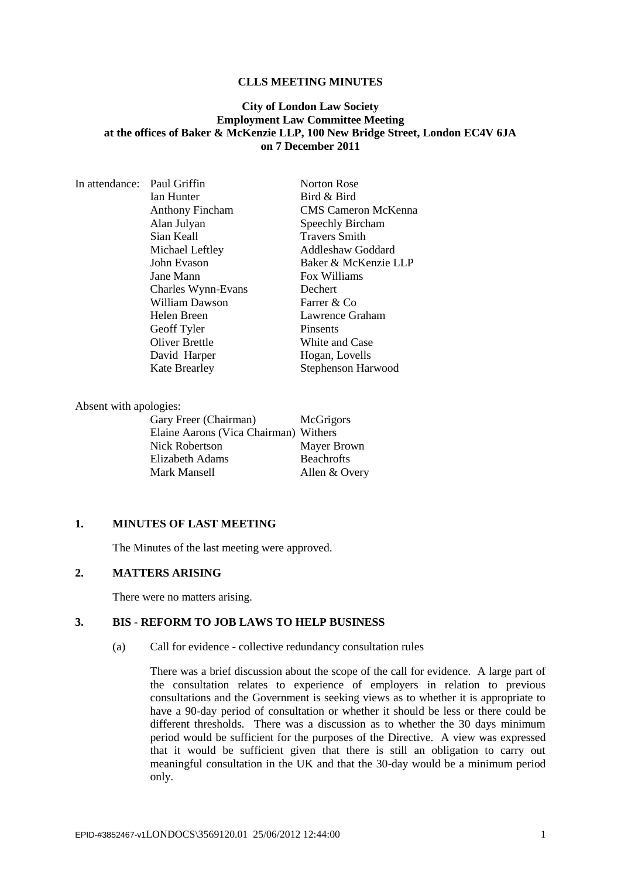#### **CLLS MEETING MINUTES**

# **City of London Law Society Employment Law Committee Meeting at the offices of Baker & McKenzie LLP, 100 New Bridge Street, London EC4V 6JA on 7 December 2011**

| In attendance: Paul Griffin |                        | <b>Norton Rose</b>         |
|-----------------------------|------------------------|----------------------------|
|                             | Ian Hunter             | Bird & Bird                |
|                             | <b>Anthony Fincham</b> | <b>CMS</b> Cameron McKenna |
|                             | Alan Julyan            | Speechly Bircham           |
|                             | Sian Keall             | <b>Travers Smith</b>       |
|                             | Michael Leftley        | Addleshaw Goddard          |
|                             | John Evason            | Baker & McKenzie LLP       |
|                             | Jane Mann              | Fox Williams               |
|                             | Charles Wynn-Evans     | Dechert                    |
|                             | William Dawson         | Farrer & Co                |
|                             | Helen Breen            | Lawrence Graham            |
|                             | Geoff Tyler            | <b>Pinsents</b>            |
|                             | Oliver Brettle         | White and Case             |
|                             | David Harper           | Hogan, Lovells             |
|                             | <b>Kate Brearley</b>   | Stephenson Harwood         |

#### Absent with apologies:

| Gary Freer (Chairman)                 | McGrigors         |
|---------------------------------------|-------------------|
| Elaine Aarons (Vica Chairman) Withers |                   |
| <b>Nick Robertson</b>                 | Mayer Brown       |
| Elizabeth Adams                       | <b>Beachrofts</b> |
| Mark Mansell                          | Allen & Overy     |

# **1. MINUTES OF LAST MEETING**

The Minutes of the last meeting were approved.

# **2. MATTERS ARISING**

There were no matters arising.

# **3. BIS - REFORM TO JOB LAWS TO HELP BUSINESS**

(a) Call for evidence - collective redundancy consultation rules

There was a brief discussion about the scope of the call for evidence. A large part of the consultation relates to experience of employers in relation to previous consultations and the Government is seeking views as to whether it is appropriate to have a 90-day period of consultation or whether it should be less or there could be different thresholds. There was a discussion as to whether the 30 days minimum period would be sufficient for the purposes of the Directive. A view was expressed that it would be sufficient given that there is still an obligation to carry out meaningful consultation in the UK and that the 30-day would be a minimum period only.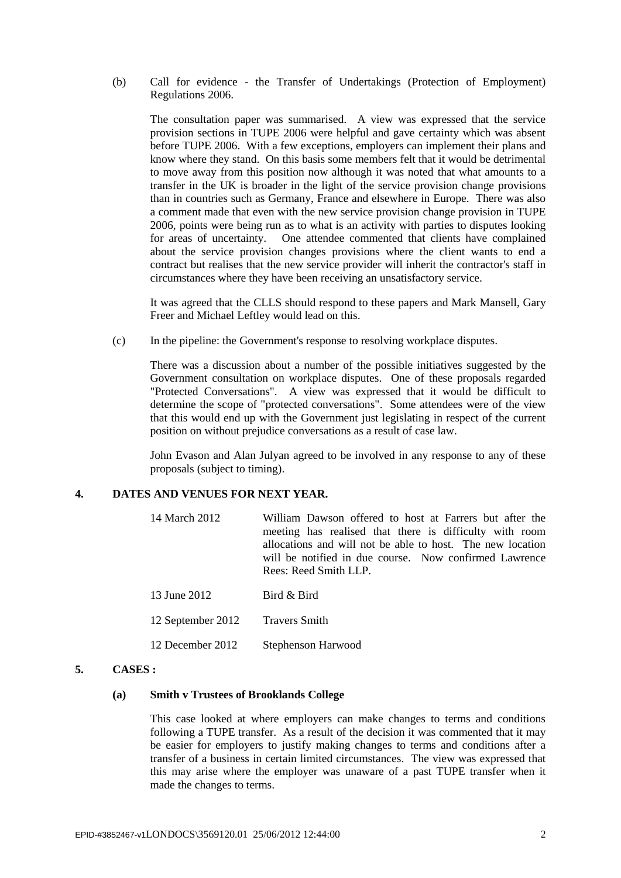(b) Call for evidence - the Transfer of Undertakings (Protection of Employment) Regulations 2006.

The consultation paper was summarised. A view was expressed that the service provision sections in TUPE 2006 were helpful and gave certainty which was absent before TUPE 2006. With a few exceptions, employers can implement their plans and know where they stand. On this basis some members felt that it would be detrimental to move away from this position now although it was noted that what amounts to a transfer in the UK is broader in the light of the service provision change provisions than in countries such as Germany, France and elsewhere in Europe. There was also a comment made that even with the new service provision change provision in TUPE 2006, points were being run as to what is an activity with parties to disputes looking for areas of uncertainty. One attendee commented that clients have complained about the service provision changes provisions where the client wants to end a contract but realises that the new service provider will inherit the contractor's staff in circumstances where they have been receiving an unsatisfactory service.

It was agreed that the CLLS should respond to these papers and Mark Mansell, Gary Freer and Michael Leftley would lead on this.

(c) In the pipeline: the Government's response to resolving workplace disputes.

There was a discussion about a number of the possible initiatives suggested by the Government consultation on workplace disputes. One of these proposals regarded "Protected Conversations". A view was expressed that it would be difficult to determine the scope of "protected conversations". Some attendees were of the view that this would end up with the Government just legislating in respect of the current position on without prejudice conversations as a result of case law.

John Evason and Alan Julyan agreed to be involved in any response to any of these proposals (subject to timing).

### **4. DATES AND VENUES FOR NEXT YEAR.**

- 14 March 2012 William Dawson offered to host at Farrers but after the meeting has realised that there is difficulty with room allocations and will not be able to host. The new location will be notified in due course. Now confirmed Lawrence Rees: Reed Smith LLP.
	- 13 June 2012 Bird & Bird
	- 12 September 2012 Travers Smith
- 12 December 2012 Stephenson Harwood

### **5. CASES :**

# **(a) Smith v Trustees of Brooklands College**

This case looked at where employers can make changes to terms and conditions following a TUPE transfer. As a result of the decision it was commented that it may be easier for employers to justify making changes to terms and conditions after a transfer of a business in certain limited circumstances. The view was expressed that this may arise where the employer was unaware of a past TUPE transfer when it made the changes to terms.